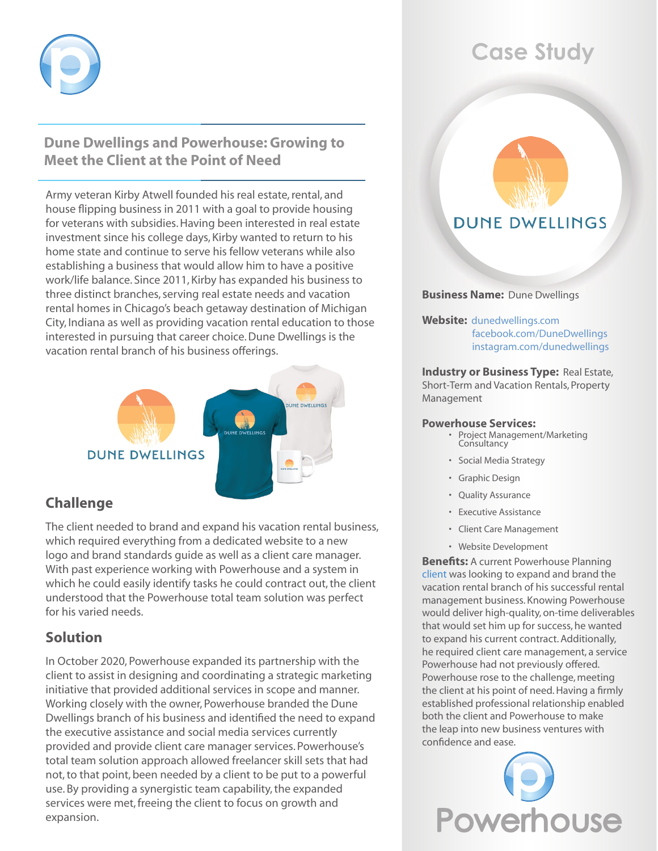

# **Dune Dwellings and Powerhouse: Growing to Meet the Client at the Point of Need**

Army veteran Kirby Atwell founded his real estate, rental, and house flipping business in 2011 with a goal to provide housing for veterans with subsidies. Having been interested in real estate investment since his college days, Kirby wanted to return to his home state and continue to serve his fellow veterans while also establishing a business that would allow him to have a positive work/life balance. Since 2011, Kirby has expanded his business to three distinct branches, serving real estate needs and vacation rental homes in Chicago's beach getaway destination of Michigan City, Indiana as well as providing vacation rental education to those interested in pursuing that career choice. Dune Dwellings is the vacation rental branch of his business offerings.



## **Challenge**

The client needed to brand and expand his vacation rental business, which required everything from a dedicated website to a new logo and brand standards guide as well as a client care manager. With past experience working with Powerhouse and a system in which he could easily identify tasks he could contract out, the client understood that the Powerhouse total team solution was perfect for his varied needs.

# **Solution**

In October 2020, Powerhouse expanded its partnership with the client to assist in designing and coordinating a strategic marketing initiative that provided additional services in scope and manner. Working closely with the owner, Powerhouse branded the Dune Dwellings branch of his business and identified the need to expand the executive assistance and social media services currently provided and provide client care manager services. Powerhouse's total team solution approach allowed freelancer skill sets that had not, to that point, been needed by a client to be put to a powerful use. By providing a synergistic team capability, the expanded services were met, freeing the client to focus on growth and expansion.

# **Case Study**

# **DUNE DWELLINGS**

### **Business Name:** Dune Dwellings

**Website:** [dunedwellings.com](http://www.dunedwellings.com) [facebook.com/DuneDwellings](www.facebook.com/DuneDwellings) [instagram.com/dunedwellings](http://www.instagram.com/dunedwellings)

**Industry or Business Type:** Real Estate, Short-Term and Vacation Rentals, Property Management

#### **Powerhouse Services:**

- • Project Management/Marketing **Consultancy** 
	- • Social Media Strategy
	- • Graphic Design
	- • Quality Assurance
	- • Executive Assistance
	- • Client Care Management
	- • Website Development

**Benefits:** A current Powerhouse Planning [client](https://www.powerhouseplanning.com/wp-content/uploads/2021/10/LOR-GVH-Case-Study-FINAL-10-4-21-2.pdf) was looking to expand and brand the vacation rental branch of his successful rental management business. Knowing Powerhouse would deliver high-quality, on-time deliverables that would set him up for success, he wanted to expand his current contract. Additionally, he required client care management, a service Powerhouse had not previously offered. Powerhouse rose to the challenge, meeting the client at his point of need. Having a firmly established professional relationship enabled both the client and Powerhouse to make the leap into new business ventures with confidence and ease.